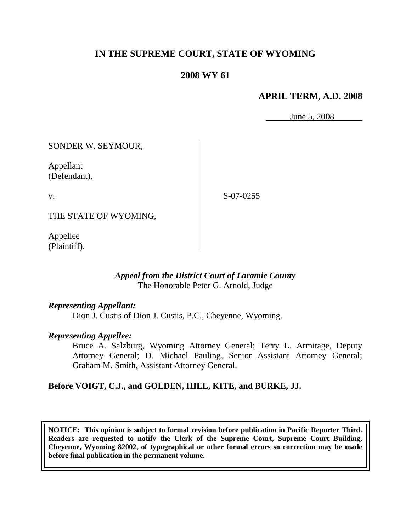# **IN THE SUPREME COURT, STATE OF WYOMING**

## **2008 WY 61**

## **APRIL TERM, A.D. 2008**

June 5, 2008

SONDER W. SEYMOUR,

Appellant (Defendant),

v.

S-07-0255

THE STATE OF WYOMING,

Appellee (Plaintiff).

## *Appeal from the District Court of Laramie County* The Honorable Peter G. Arnold, Judge

## *Representing Appellant:*

Dion J. Custis of Dion J. Custis, P.C., Cheyenne, Wyoming.

## *Representing Appellee:*

Bruce A. Salzburg, Wyoming Attorney General; Terry L. Armitage, Deputy Attorney General; D. Michael Pauling, Senior Assistant Attorney General; Graham M. Smith, Assistant Attorney General.

## **Before VOIGT, C.J., and GOLDEN, HILL, KITE, and BURKE, JJ.**

**NOTICE: This opinion is subject to formal revision before publication in Pacific Reporter Third. Readers are requested to notify the Clerk of the Supreme Court, Supreme Court Building, Cheyenne, Wyoming 82002, of typographical or other formal errors so correction may be made before final publication in the permanent volume.**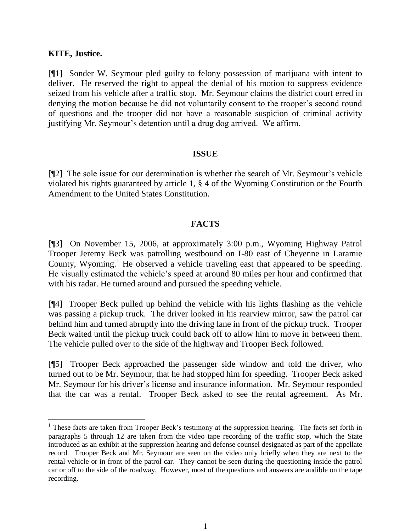#### **KITE, Justice.**

[¶1] Sonder W. Seymour pled guilty to felony possession of marijuana with intent to deliver. He reserved the right to appeal the denial of his motion to suppress evidence seized from his vehicle after a traffic stop. Mr. Seymour claims the district court erred in denying the motion because he did not voluntarily consent to the trooper's second round of questions and the trooper did not have a reasonable suspicion of criminal activity justifying Mr. Seymour's detention until a drug dog arrived. We affirm.

#### **ISSUE**

[¶2] The sole issue for our determination is whether the search of Mr. Seymour's vehicle violated his rights guaranteed by article 1, § 4 of the Wyoming Constitution or the Fourth Amendment to the United States Constitution.

## **FACTS**

[¶3] On November 15, 2006, at approximately 3:00 p.m., Wyoming Highway Patrol Trooper Jeremy Beck was patrolling westbound on I-80 east of Cheyenne in Laramie County, Wyoming.<sup>1</sup> He observed a vehicle traveling east that appeared to be speeding. He visually estimated the vehicle's speed at around 80 miles per hour and confirmed that with his radar. He turned around and pursued the speeding vehicle.

[¶4] Trooper Beck pulled up behind the vehicle with his lights flashing as the vehicle was passing a pickup truck. The driver looked in his rearview mirror, saw the patrol car behind him and turned abruptly into the driving lane in front of the pickup truck. Trooper Beck waited until the pickup truck could back off to allow him to move in between them. The vehicle pulled over to the side of the highway and Trooper Beck followed.

[¶5] Trooper Beck approached the passenger side window and told the driver, who turned out to be Mr. Seymour, that he had stopped him for speeding. Trooper Beck asked Mr. Seymour for his driver's license and insurance information. Mr. Seymour responded that the car was a rental. Trooper Beck asked to see the rental agreement. As Mr.

 $1$  These facts are taken from Trooper Beck's testimony at the suppression hearing. The facts set forth in paragraphs 5 through 12 are taken from the video tape recording of the traffic stop, which the State introduced as an exhibit at the suppression hearing and defense counsel designated as part of the appellate record. Trooper Beck and Mr. Seymour are seen on the video only briefly when they are next to the rental vehicle or in front of the patrol car. They cannot be seen during the questioning inside the patrol car or off to the side of the roadway. However, most of the questions and answers are audible on the tape recording.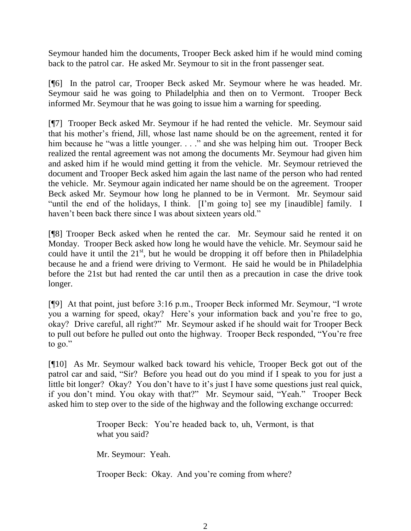Seymour handed him the documents, Trooper Beck asked him if he would mind coming back to the patrol car. He asked Mr. Seymour to sit in the front passenger seat.

[¶6] In the patrol car, Trooper Beck asked Mr. Seymour where he was headed. Mr. Seymour said he was going to Philadelphia and then on to Vermont. Trooper Beck informed Mr. Seymour that he was going to issue him a warning for speeding.

[¶7] Trooper Beck asked Mr. Seymour if he had rented the vehicle. Mr. Seymour said that his mother's friend, Jill, whose last name should be on the agreement, rented it for him because he "was a little younger. . . ." and she was helping him out. Trooper Beck realized the rental agreement was not among the documents Mr. Seymour had given him and asked him if he would mind getting it from the vehicle. Mr. Seymour retrieved the document and Trooper Beck asked him again the last name of the person who had rented the vehicle. Mr. Seymour again indicated her name should be on the agreement. Trooper Beck asked Mr. Seymour how long he planned to be in Vermont. Mr. Seymour said "until the end of the holidays, I think. [I'm going to] see my [inaudible] family. I haven't been back there since I was about sixteen years old."

[¶8] Trooper Beck asked when he rented the car. Mr. Seymour said he rented it on Monday. Trooper Beck asked how long he would have the vehicle. Mr. Seymour said he could have it until the  $21<sup>st</sup>$ , but he would be dropping it off before then in Philadelphia because he and a friend were driving to Vermont. He said he would be in Philadelphia before the 21st but had rented the car until then as a precaution in case the drive took longer.

[¶9] At that point, just before 3:16 p.m., Trooper Beck informed Mr. Seymour, "I wrote you a warning for speed, okay? Here's your information back and you're free to go, okay? Drive careful, all right?" Mr. Seymour asked if he should wait for Trooper Beck to pull out before he pulled out onto the highway. Trooper Beck responded, "You're free to go."

[¶10] As Mr. Seymour walked back toward his vehicle, Trooper Beck got out of the patrol car and said, "Sir? Before you head out do you mind if I speak to you for just a little bit longer? Okay? You don't have to it's just I have some questions just real quick, if you don't mind. You okay with that?" Mr. Seymour said, "Yeah." Trooper Beck asked him to step over to the side of the highway and the following exchange occurred:

> Trooper Beck: You're headed back to, uh, Vermont, is that what you said?

Mr. Seymour: Yeah.

Trooper Beck: Okay. And you're coming from where?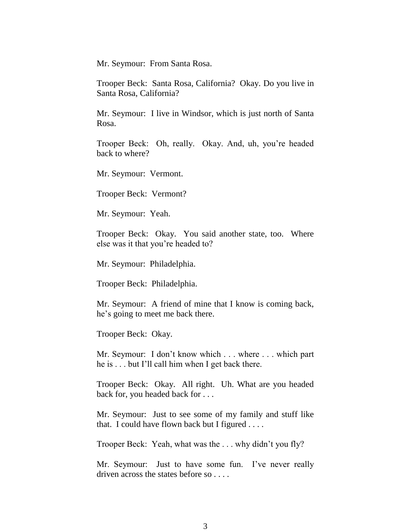Mr. Seymour: From Santa Rosa.

Trooper Beck: Santa Rosa, California? Okay. Do you live in Santa Rosa, California?

Mr. Seymour: I live in Windsor, which is just north of Santa Rosa.

Trooper Beck: Oh, really. Okay. And, uh, you're headed back to where?

Mr. Seymour: Vermont.

Trooper Beck: Vermont?

Mr. Seymour: Yeah.

Trooper Beck: Okay. You said another state, too. Where else was it that you're headed to?

Mr. Seymour: Philadelphia.

Trooper Beck: Philadelphia.

Mr. Seymour: A friend of mine that I know is coming back, he's going to meet me back there.

Trooper Beck: Okay.

Mr. Seymour: I don't know which . . . where . . . which part he is . . . but I'll call him when I get back there.

Trooper Beck: Okay. All right. Uh. What are you headed back for, you headed back for . . .

Mr. Seymour: Just to see some of my family and stuff like that. I could have flown back but I figured . . . .

Trooper Beck: Yeah, what was the . . . why didn't you fly?

Mr. Seymour: Just to have some fun. I've never really driven across the states before so . . . .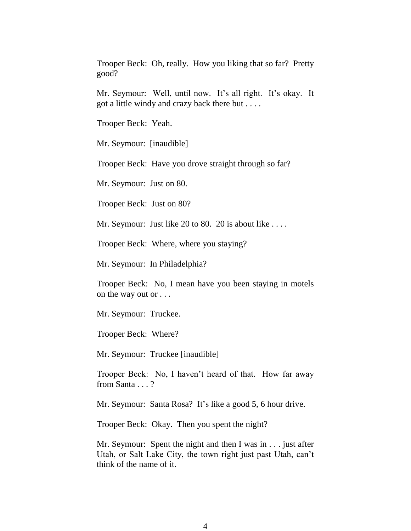Trooper Beck: Oh, really. How you liking that so far? Pretty good?

Mr. Seymour: Well, until now. It's all right. It's okay. It got a little windy and crazy back there but . . . .

Trooper Beck: Yeah.

Mr. Seymour: [inaudible]

Trooper Beck: Have you drove straight through so far?

Mr. Seymour: Just on 80.

Trooper Beck: Just on 80?

Mr. Seymour: Just like 20 to 80. 20 is about like ....

Trooper Beck: Where, where you staying?

Mr. Seymour: In Philadelphia?

Trooper Beck: No, I mean have you been staying in motels on the way out or . . .

Mr. Seymour: Truckee.

Trooper Beck: Where?

Mr. Seymour: Truckee [inaudible]

Trooper Beck: No, I haven't heard of that. How far away from Santa . . . ?

Mr. Seymour: Santa Rosa? It's like a good 5, 6 hour drive.

Trooper Beck: Okay. Then you spent the night?

Mr. Seymour: Spent the night and then I was in . . . just after Utah, or Salt Lake City, the town right just past Utah, can't think of the name of it.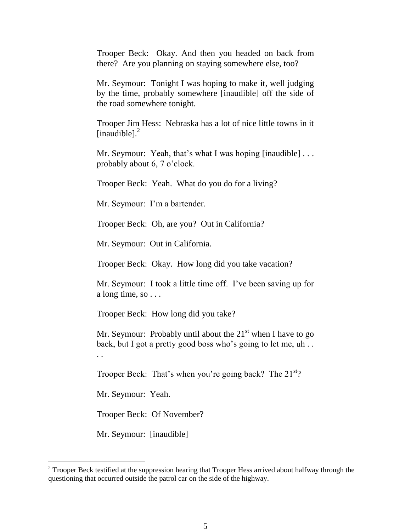Trooper Beck: Okay. And then you headed on back from there? Are you planning on staying somewhere else, too?

Mr. Seymour: Tonight I was hoping to make it, well judging by the time, probably somewhere [inaudible] off the side of the road somewhere tonight.

Trooper Jim Hess: Nebraska has a lot of nice little towns in it [inaudible].<sup>2</sup>

Mr. Seymour: Yeah, that's what I was hoping [inaudible] ... probably about 6, 7 o'clock.

Trooper Beck: Yeah. What do you do for a living?

Mr. Seymour: I'm a bartender.

Trooper Beck: Oh, are you? Out in California?

Mr. Seymour: Out in California.

Trooper Beck: Okay. How long did you take vacation?

Mr. Seymour: I took a little time off. I've been saving up for a long time, so . . .

Trooper Beck: How long did you take?

Mr. Seymour: Probably until about the  $21<sup>st</sup>$  when I have to go back, but I got a pretty good boss who's going to let me, uh . .

Trooper Beck: That's when you're going back? The 21<sup>st</sup>?

Mr. Seymour: Yeah.

. .

l

Trooper Beck: Of November?

Mr. Seymour: [inaudible]

 $2^2$  Trooper Beck testified at the suppression hearing that Trooper Hess arrived about halfway through the questioning that occurred outside the patrol car on the side of the highway.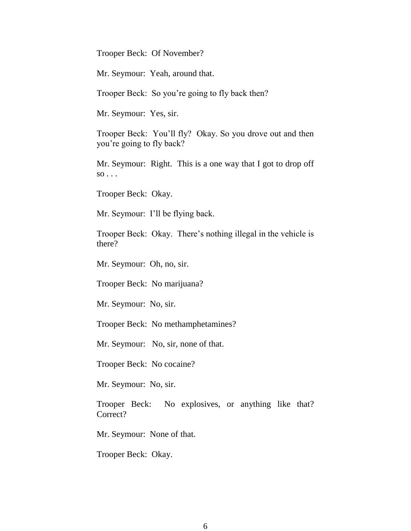Trooper Beck: Of November?

Mr. Seymour: Yeah, around that.

Trooper Beck: So you're going to fly back then?

Mr. Seymour: Yes, sir.

Trooper Beck: You'll fly? Okay. So you drove out and then you're going to fly back?

Mr. Seymour: Right. This is a one way that I got to drop off  $so \dots$ 

Trooper Beck: Okay.

Mr. Seymour: I'll be flying back.

Trooper Beck: Okay. There's nothing illegal in the vehicle is there?

Mr. Seymour: Oh, no, sir.

Trooper Beck: No marijuana?

Mr. Seymour: No, sir.

Trooper Beck: No methamphetamines?

Mr. Seymour: No, sir, none of that.

Trooper Beck: No cocaine?

Mr. Seymour: No, sir.

Trooper Beck: No explosives, or anything like that? Correct?

Mr. Seymour: None of that.

Trooper Beck: Okay.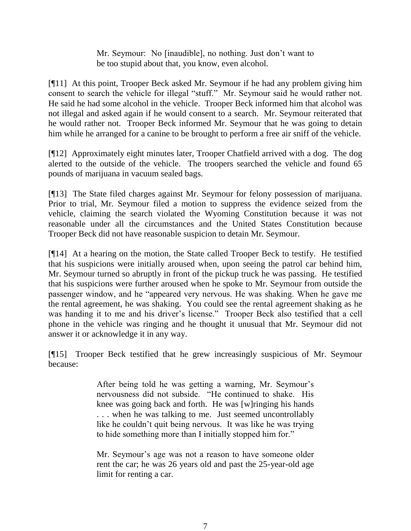Mr. Seymour: No [inaudible], no nothing. Just don't want to be too stupid about that, you know, even alcohol.

[¶11] At this point, Trooper Beck asked Mr. Seymour if he had any problem giving him consent to search the vehicle for illegal "stuff." Mr. Seymour said he would rather not. He said he had some alcohol in the vehicle. Trooper Beck informed him that alcohol was not illegal and asked again if he would consent to a search. Mr. Seymour reiterated that he would rather not. Trooper Beck informed Mr. Seymour that he was going to detain him while he arranged for a canine to be brought to perform a free air sniff of the vehicle.

[¶12] Approximately eight minutes later, Trooper Chatfield arrived with a dog. The dog alerted to the outside of the vehicle. The troopers searched the vehicle and found 65 pounds of marijuana in vacuum sealed bags.

[¶13] The State filed charges against Mr. Seymour for felony possession of marijuana. Prior to trial, Mr. Seymour filed a motion to suppress the evidence seized from the vehicle, claiming the search violated the Wyoming Constitution because it was not reasonable under all the circumstances and the United States Constitution because Trooper Beck did not have reasonable suspicion to detain Mr. Seymour.

[¶14] At a hearing on the motion, the State called Trooper Beck to testify. He testified that his suspicions were initially aroused when, upon seeing the patrol car behind him, Mr. Seymour turned so abruptly in front of the pickup truck he was passing. He testified that his suspicions were further aroused when he spoke to Mr. Seymour from outside the passenger window, and he "appeared very nervous. He was shaking. When he gave me the rental agreement, he was shaking. You could see the rental agreement shaking as he was handing it to me and his driver's license." Trooper Beck also testified that a cell phone in the vehicle was ringing and he thought it unusual that Mr. Seymour did not answer it or acknowledge it in any way.

[¶15] Trooper Beck testified that he grew increasingly suspicious of Mr. Seymour because:

> After being told he was getting a warning, Mr. Seymour's nervousness did not subside. "He continued to shake. His knee was going back and forth. He was [w]ringing his hands . . . when he was talking to me. Just seemed uncontrollably like he couldn't quit being nervous. It was like he was trying to hide something more than I initially stopped him for."

> Mr. Seymour's age was not a reason to have someone older rent the car; he was 26 years old and past the 25-year-old age limit for renting a car.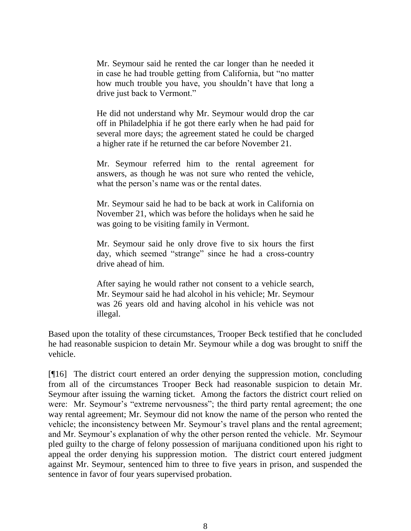Mr. Seymour said he rented the car longer than he needed it in case he had trouble getting from California, but "no matter how much trouble you have, you shouldn't have that long a drive just back to Vermont."

He did not understand why Mr. Seymour would drop the car off in Philadelphia if he got there early when he had paid for several more days; the agreement stated he could be charged a higher rate if he returned the car before November 21.

Mr. Seymour referred him to the rental agreement for answers, as though he was not sure who rented the vehicle, what the person's name was or the rental dates.

Mr. Seymour said he had to be back at work in California on November 21, which was before the holidays when he said he was going to be visiting family in Vermont.

Mr. Seymour said he only drove five to six hours the first day, which seemed "strange" since he had a cross-country drive ahead of him.

After saying he would rather not consent to a vehicle search, Mr. Seymour said he had alcohol in his vehicle; Mr. Seymour was 26 years old and having alcohol in his vehicle was not illegal.

Based upon the totality of these circumstances, Trooper Beck testified that he concluded he had reasonable suspicion to detain Mr. Seymour while a dog was brought to sniff the vehicle.

[¶16] The district court entered an order denying the suppression motion, concluding from all of the circumstances Trooper Beck had reasonable suspicion to detain Mr. Seymour after issuing the warning ticket. Among the factors the district court relied on were: Mr. Seymour's "extreme nervousness"; the third party rental agreement; the one way rental agreement; Mr. Seymour did not know the name of the person who rented the vehicle; the inconsistency between Mr. Seymour's travel plans and the rental agreement; and Mr. Seymour's explanation of why the other person rented the vehicle. Mr. Seymour pled guilty to the charge of felony possession of marijuana conditioned upon his right to appeal the order denying his suppression motion. The district court entered judgment against Mr. Seymour, sentenced him to three to five years in prison, and suspended the sentence in favor of four years supervised probation.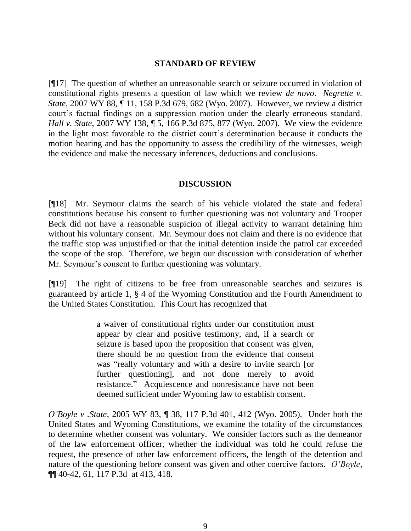#### **STANDARD OF REVIEW**

[¶17] The question of whether an unreasonable search or seizure occurred in violation of constitutional rights presents a question of law which we review *de novo*. *Negrette v. State*, 2007 WY 88, ¶ 11, 158 P.3d 679, 682 (Wyo. 2007). However, we review a district court's factual findings on a suppression motion under the clearly erroneous standard. *Hall v. State*, 2007 WY 138, ¶ 5, 166 P.3d 875, 877 (Wyo. 2007). We view the evidence in the light most favorable to the district court's determination because it conducts the motion hearing and has the opportunity to assess the credibility of the witnesses, weigh the evidence and make the necessary inferences, deductions and conclusions.

## **DISCUSSION**

[¶18] Mr. Seymour claims the search of his vehicle violated the state and federal constitutions because his consent to further questioning was not voluntary and Trooper Beck did not have a reasonable suspicion of illegal activity to warrant detaining him without his voluntary consent. Mr. Seymour does not claim and there is no evidence that the traffic stop was unjustified or that the initial detention inside the patrol car exceeded the scope of the stop. Therefore, we begin our discussion with consideration of whether Mr. Seymour's consent to further questioning was voluntary.

[¶19] The right of citizens to be free from unreasonable searches and seizures is guaranteed by article 1, § 4 of the Wyoming Constitution and the Fourth Amendment to the United States Constitution. This Court has recognized that

> a waiver of constitutional rights under our constitution must appear by clear and positive testimony, and, if a search or seizure is based upon the proposition that consent was given, there should be no question from the evidence that consent was "really voluntary and with a desire to invite search [or further questioning], and not done merely to avoid resistance." Acquiescence and nonresistance have not been deemed sufficient under Wyoming law to establish consent.

*O'Boyle v .State*, 2005 WY 83, ¶ 38, 117 P.3d 401, 412 (Wyo. 2005). Under both the United States and Wyoming Constitutions, we examine the totality of the circumstances to determine whether consent was voluntary. We consider factors such as the demeanor of the law enforcement officer, whether the individual was told he could refuse the request, the presence of other law enforcement officers, the length of the detention and nature of the questioning before consent was given and other coercive factors. *O'Boyle*, ¶¶ 40-42, 61, 117 P.3d at 413, 418.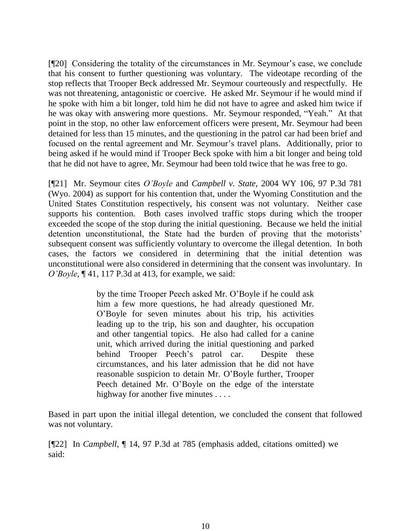[¶20] Considering the totality of the circumstances in Mr. Seymour's case, we conclude that his consent to further questioning was voluntary. The videotape recording of the stop reflects that Trooper Beck addressed Mr. Seymour courteously and respectfully. He was not threatening, antagonistic or coercive. He asked Mr. Seymour if he would mind if he spoke with him a bit longer, told him he did not have to agree and asked him twice if he was okay with answering more questions. Mr. Seymour responded, "Yeah." At that point in the stop, no other law enforcement officers were present, Mr. Seymour had been detained for less than 15 minutes, and the questioning in the patrol car had been brief and focused on the rental agreement and Mr. Seymour's travel plans. Additionally, prior to being asked if he would mind if Trooper Beck spoke with him a bit longer and being told that he did not have to agree, Mr. Seymour had been told twice that he was free to go.

[¶21] Mr. Seymour cites *O'Boyle* and *Campbell v. State*, 2004 WY 106, 97 P.3d 781 (Wyo. 2004) as support for his contention that, under the Wyoming Constitution and the United States Constitution respectively, his consent was not voluntary. Neither case supports his contention. Both cases involved traffic stops during which the trooper exceeded the scope of the stop during the initial questioning. Because we held the initial detention unconstitutional, the State had the burden of proving that the motorists' subsequent consent was sufficiently voluntary to overcome the illegal detention. In both cases, the factors we considered in determining that the initial detention was unconstitutional were also considered in determining that the consent was involuntary. In *O'Boyle*, ¶ 41, 117 P.3d at 413, for example, we said:

> by the time Trooper Peech asked Mr. O'Boyle if he could ask him a few more questions, he had already questioned Mr. O'Boyle for seven minutes about his trip, his activities leading up to the trip, his son and daughter, his occupation and other tangential topics. He also had called for a canine unit, which arrived during the initial questioning and parked behind Trooper Peech's patrol car. Despite these circumstances, and his later admission that he did not have reasonable suspicion to detain Mr. O'Boyle further, Trooper Peech detained Mr. O'Boyle on the edge of the interstate highway for another five minutes . . . .

Based in part upon the initial illegal detention, we concluded the consent that followed was not voluntary.

[¶22] In *Campbell*, ¶ 14, 97 P.3d at 785 (emphasis added, citations omitted) we said: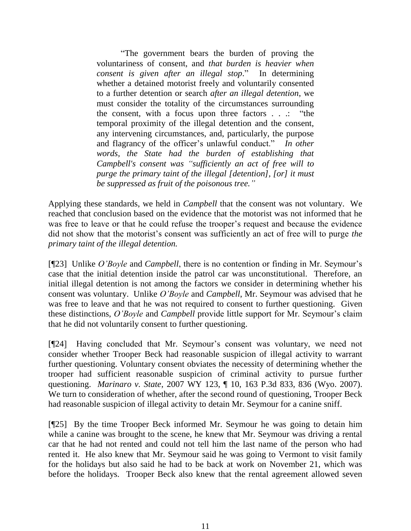"The government bears the burden of proving the voluntariness of consent, and *that burden is heavier when consent is given after an illegal stop*." In determining whether a detained motorist freely and voluntarily consented to a further detention or search *after an illegal detention*, we must consider the totality of the circumstances surrounding the consent, with a focus upon three factors . . .: "the temporal proximity of the illegal detention and the consent, any intervening circumstances, and, particularly, the purpose and flagrancy of the officer's unlawful conduct." *In other words, the State had the burden of establishing that Campbell's consent was "sufficiently an act of free will to purge the primary taint of the illegal [detention], [or] it must be suppressed as fruit of the poisonous tree."*

Applying these standards, we held in *Campbell* that the consent was not voluntary. We reached that conclusion based on the evidence that the motorist was not informed that he was free to leave or that he could refuse the trooper's request and because the evidence did not show that the motorist's consent was sufficiently an act of free will to purge *the primary taint of the illegal detention.* 

[¶23] Unlike *O'Boyle* and *Campbell*, there is no contention or finding in Mr. Seymour's case that the initial detention inside the patrol car was unconstitutional. Therefore, an initial illegal detention is not among the factors we consider in determining whether his consent was voluntary. Unlike *O'Boyle* and *Campbell*, Mr. Seymour was advised that he was free to leave and that he was not required to consent to further questioning. Given these distinctions, *O'Boyle* and *Campbell* provide little support for Mr. Seymour's claim that he did not voluntarily consent to further questioning.

[¶24] Having concluded that Mr. Seymour's consent was voluntary, we need not consider whether Trooper Beck had reasonable suspicion of illegal activity to warrant further questioning. Voluntary consent obviates the necessity of determining whether the trooper had sufficient reasonable suspicion of criminal activity to pursue further questioning. *Marinaro v. State*, 2007 WY 123, ¶ 10, 163 P.3d 833, 836 (Wyo. 2007). We turn to consideration of whether, after the second round of questioning, Trooper Beck had reasonable suspicion of illegal activity to detain Mr. Seymour for a canine sniff.

[¶25] By the time Trooper Beck informed Mr. Seymour he was going to detain him while a canine was brought to the scene, he knew that Mr. Seymour was driving a rental car that he had not rented and could not tell him the last name of the person who had rented it. He also knew that Mr. Seymour said he was going to Vermont to visit family for the holidays but also said he had to be back at work on November 21, which was before the holidays. Trooper Beck also knew that the rental agreement allowed seven